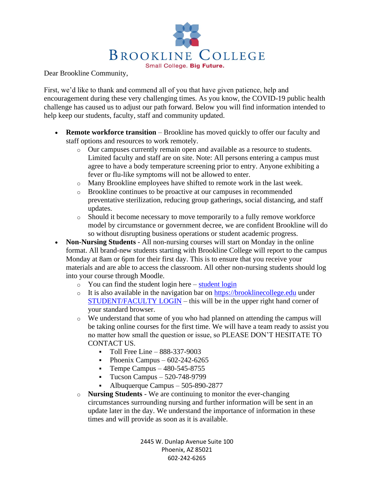

Dear Brookline Community,

First, we'd like to thank and commend all of you that have given patience, help and encouragement during these very challenging times. As you know, the COVID-19 public health challenge has caused us to adjust our path forward. Below you will find information intended to help keep our students, faculty, staff and community updated.

- **Remote workforce transition** Brookline has moved quickly to offer our faculty and staff options and resources to work remotely.
	- o Our campuses currently remain open and available as a resource to students. Limited faculty and staff are on site. Note: All persons entering a campus must agree to have a body temperature screening prior to entry. Anyone exhibiting a fever or flu-like symptoms will not be allowed to enter.
	- o Many Brookline employees have shifted to remote work in the last week.
	- o Brookline continues to be proactive at our campuses in recommended preventative sterilization, reducing group gatherings, social distancing, and staff updates.
	- o Should it become necessary to move temporarily to a fully remove workforce model by circumstance or government decree, we are confident Brookline will do so without disrupting business operations or student academic progress.
- **Non-Nursing Students** All non-nursing courses will start on Monday in the online format. All brand-new students starting with Brookline College will report to the campus Monday at 8am or 6pm for their first day. This is to ensure that you receive your materials and are able to access the classroom. All other non-nursing students should log into your course through Moodle.
	- $\circ$  You can find the [student login](https://sisstudentsts.brooklinecollege.edu/Login.aspx?ReturnUrl=%2f%3fwa%3dwsignin1.0%26wtrealm%3dhttps%253a%252f%252fmy.brooklinecollege.edu%252f%26wct%3d2020-03-19T23%253a34%253a24Z%26wctx%3drm%253d0%2526id%253dpassive%2526ru%253dsecure%252fstudent%252fstuportal.aspx%26AppType%3dPortal%26Role%3dSTUDENT&wa=wsignin1.0&wtrealm=https%3a%2f%2fmy.brooklinecollege.edu%2f&wct=2020-03-19T23%3a34%3a24Z&wctx=rm%3d0%26id%3dpassive%26ru%3dsecure%2fstudent%2fstuportal.aspx&AppType=Portal&Role=STUDENT) here student login
	- $\circ$  It is also available in the navigation bar on [https://brooklinecollege.edu](https://brooklinecollege.edu/) under [STUDENT/FACULTY LOGIN](https://my.brooklinecollege.edu/) – this will be in the upper right hand corner of your standard browser.
	- o We understand that some of you who had planned on attending the campus will be taking online courses for the first time. We will have a team ready to assist you no matter how small the question or issue, so PLEASE DON'T HESITATE TO CONTACT US.
		- $\blacksquare$  Toll Free Line 888-337-9003
		- Phoenix Campus  $602-242-6265$
		- **•** Tempe Campus  $-480-545-8755$
		- Tucson Campus 520-748-9799
		- Albuquerque Campus 505-890-2877
	- o **Nursing Students** We are continuing to monitor the ever-changing circumstances surrounding nursing and further information will be sent in an update later in the day. We understand the importance of information in these times and will provide as soon as it is available.

2445 W. Dunlap Avenue Suite 100 Phoenix, AZ 85021 602-242-6265